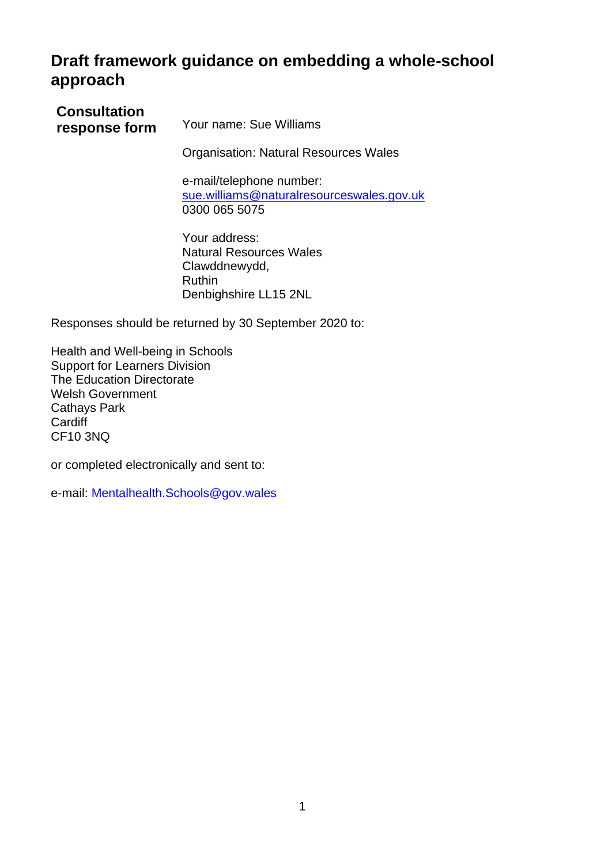# **Draft framework guidance on embedding a whole-school approach**

| <b>Consultation</b><br>response form | Your name: Sue Williams                                                                             |
|--------------------------------------|-----------------------------------------------------------------------------------------------------|
|                                      | <b>Organisation: Natural Resources Wales</b>                                                        |
|                                      | e-mail/telephone number:<br>sue.williams@naturalresourceswales.gov.uk<br>0300 065 5075              |
|                                      | Your address:<br><b>Natural Resources Wales</b><br>Clawddnewydd,<br>Ruthin<br>Denbighshire LL15 2NL |
|                                      | Responses should be returned by 30 September 2020 to:                                               |

Health and Well-being in Schools Support for Learners Division The Education Directorate Welsh Government Cathays Park **Cardiff** CF10 3NQ

or completed electronically and sent to:

e-mail: [Mentalhealth.Schools@gov.wales](mailto:Mentalhealth.Schools@gov.wales)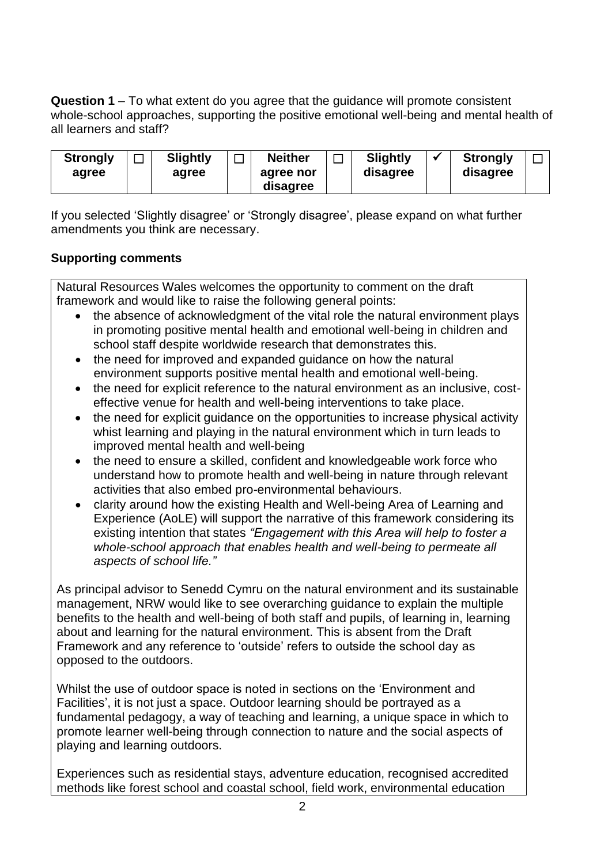**Question 1** – To what extent do you agree that the guidance will promote consistent whole-school approaches, supporting the positive emotional well-being and mental health of all learners and staff?

| <b>Strongly</b><br>agree |  | <b>Slightly</b><br>agree | − | <b>Neither</b><br>agree nor<br>disagree |  | <b>Slightly</b><br>disagree |  | <b>Strongly</b><br>disagree |  |
|--------------------------|--|--------------------------|---|-----------------------------------------|--|-----------------------------|--|-----------------------------|--|
|--------------------------|--|--------------------------|---|-----------------------------------------|--|-----------------------------|--|-----------------------------|--|

If you selected 'Slightly disagree' or 'Strongly disagree', please expand on what further amendments you think are necessary.

## **Supporting comments**

Natural Resources Wales welcomes the opportunity to comment on the draft framework and would like to raise the following general points:

- the absence of acknowledgment of the vital role the natural environment plays in promoting positive mental health and emotional well-being in children and school staff despite worldwide research that demonstrates this.
- the need for improved and expanded quidance on how the natural environment supports positive mental health and emotional well-being.
- the need for explicit reference to the natural environment as an inclusive, costeffective venue for health and well-being interventions to take place.
- the need for explicit quidance on the opportunities to increase physical activity whist learning and playing in the natural environment which in turn leads to improved mental health and well-being
- the need to ensure a skilled, confident and knowledgeable work force who understand how to promote health and well-being in nature through relevant activities that also embed pro-environmental behaviours.
- clarity around how the existing Health and Well-being Area of Learning and Experience (AoLE) will support the narrative of this framework considering its existing intention that states *"Engagement with this Area will help to foster a whole-school approach that enables health and well-being to permeate all aspects of school life."*

As principal advisor to Senedd Cymru on the natural environment and its sustainable management, NRW would like to see overarching guidance to explain the multiple benefits to the health and well-being of both staff and pupils, of learning in, learning about and learning for the natural environment. This is absent from the Draft Framework and any reference to 'outside' refers to outside the school day as opposed to the outdoors.

Whilst the use of outdoor space is noted in sections on the 'Environment and Facilities', it is not just a space. Outdoor learning should be portrayed as a fundamental pedagogy, a way of teaching and learning, a unique space in which to promote learner well-being through connection to nature and the social aspects of playing and learning outdoors.

Experiences such as residential stays, adventure education, recognised accredited methods like forest school and coastal school, field work, environmental education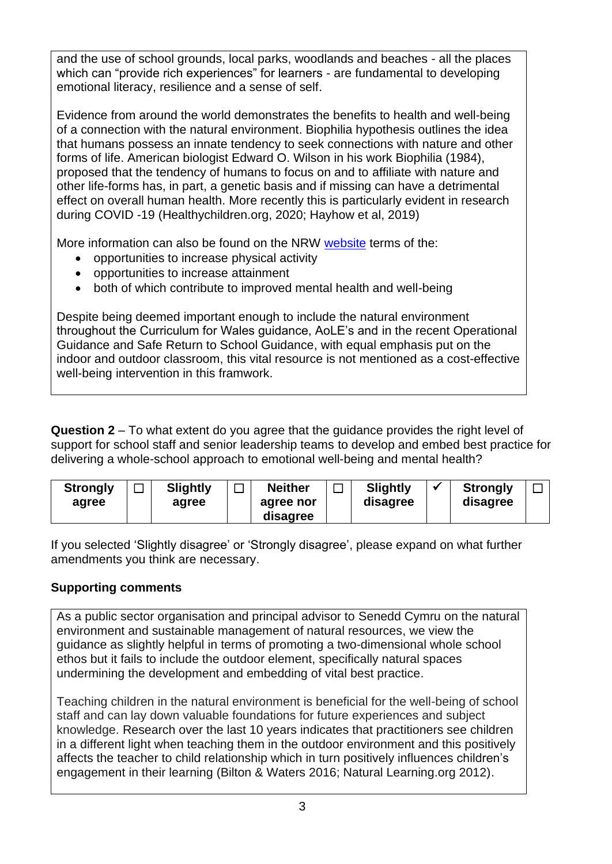and the use of school grounds, local parks, woodlands and beaches - all the places which can "provide rich experiences" for learners - are fundamental to developing emotional literacy, resilience and a sense of self.

Evidence from around the world demonstrates the benefits to health and well-being of a connection with the natural environment. Biophilia hypothesis outlines the idea that humans possess an innate tendency to seek connections with [nature](https://www.britannica.com/science/nature) and other forms of [life.](https://www.britannica.com/science/life) American biologist [Edward O. Wilson](https://www.britannica.com/biography/Edward-O-Wilson) in his work Biophilia (1984), proposed that the tendency of humans to focus on and to [affiliate](https://www.merriam-webster.com/dictionary/affiliate) with nature and other life-forms has, in part, a genetic basis and if missing can have a detrimental effect on overall human health. More recently this is particularly evident in research during COVID -19 (Healthychildren.org, 2020; Hayhow et al, 2019)

More information can also be found on the NRW [website](https://naturalresources.wales/guidance-and-advice/business-sectors/education-learning-and-skills/outdoor-learning-research/?lang=en) terms of the:

- opportunities to increase physical activity
- opportunities to increase attainment
- both of which contribute to improved mental health and well-being

Despite being deemed important enough to include the natural environment throughout the Curriculum for Wales guidance, AoLE's and in the recent Operational Guidance and Safe Return to School Guidance, with equal emphasis put on the indoor and outdoor classroom, this vital resource is not mentioned as a cost-effective well-being intervention in this framwork.

**Question 2** – To what extent do you agree that the guidance provides the right level of support for school staff and senior leadership teams to develop and embed best practice for delivering a whole-school approach to emotional well-being and mental health?

| <b>Slightly</b><br>—<br><b>Neither</b><br><b>Strongly</b><br>agree nor<br>agree<br>agree<br>disagree | <b>Slightly</b><br>disagree | <b>Strongly</b><br>disagree |
|------------------------------------------------------------------------------------------------------|-----------------------------|-----------------------------|
|------------------------------------------------------------------------------------------------------|-----------------------------|-----------------------------|

If you selected 'Slightly disagree' or 'Strongly disagree', please expand on what further amendments you think are necessary.

# **Supporting comments**

As a public sector organisation and principal advisor to Senedd Cymru on the natural environment and sustainable management of natural resources, we view the guidance as slightly helpful in terms of promoting a two-dimensional whole school ethos but it fails to include the outdoor element, specifically natural spaces undermining the development and embedding of vital best practice.

Teaching children in the natural environment is beneficial for the well-being of school staff and can lay down valuable foundations for future experiences and subject knowledge. Research over the last 10 years indicates that practitioners see children in a different light when teaching them in the outdoor environment and this positively affects the teacher to child relationship which in turn positively influences children's engagement in their learning (Bilton & Waters 2016; Natural Learning.org 2012).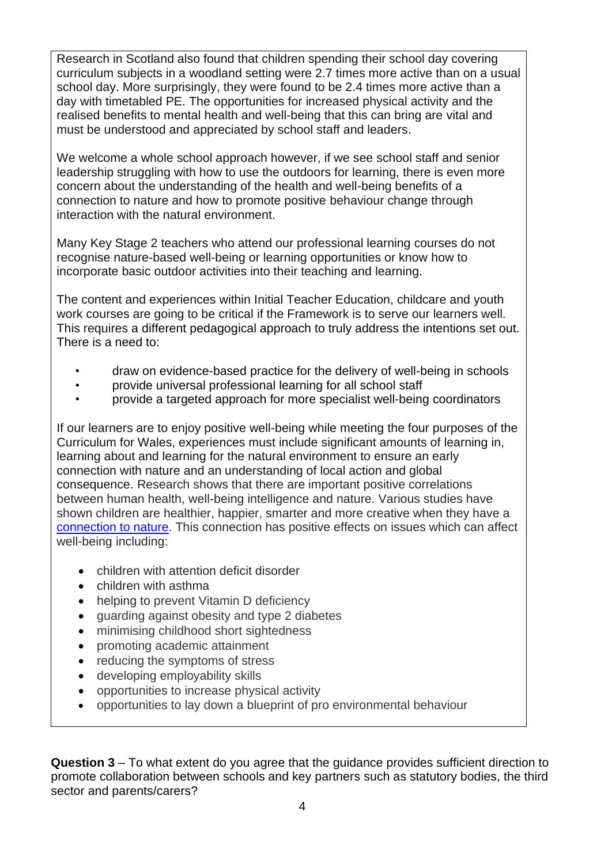Research in Scotland also found that children spending their school day covering curriculum subjects in a woodland setting were 2.7 times more active than on a usual school day. More surprisingly, they were found to be 2.4 times more active than a day with timetabled PE. The opportunities for increased physical activity and the realised benefits to mental health and well-being that this can bring are vital and must be understood and appreciated by school staff and leaders.

We welcome a whole school approach however, if we see school staff and senior leadership struggling with how to use the outdoors for learning, there is even more concern about the understanding of the health and well-being benefits of a connection to nature and how to promote positive behaviour change through interaction with the natural environment.

Many Key Stage 2 teachers who attend our professional learning courses do not recognise nature-based well-being or learning opportunities or know how to incorporate basic outdoor activities into their teaching and learning.

The content and experiences within Initial Teacher Education, childcare and youth work courses are going to be critical if the Framework is to serve our learners well. This requires a different pedagogical approach to truly address the intentions set out. There is a need to:

- draw on evidence-based practice for the delivery of well-being in schools
- provide universal professional learning for all school staff
- provide a targeted approach for more specialist well-being coordinators

If our learners are to enjoy positive well-being while meeting the four purposes of the Curriculum for Wales, experiences must include significant amounts of learning in, learning about and learning for the natural environment to ensure an early connection with nature and an understanding of local action and global consequence. Research shows that there are important positive correlations between human health, well-being intelligence and nature. Various studies have shown children are healthier, happier, smarter and more creative when they have a [connection to nature.](https://naturalresources.wales/guidance-and-advice/business-sectors/education-learning-and-skills/whats-your-connection-with-nature-like/?lang=en) This connection has positive effects on issues which can affect well-being including:

- children with attention deficit disorder
- children with asthma
- helping to prevent Vitamin D deficiency
- guarding against obesity and type 2 diabetes
- minimising childhood short sightedness
- promoting academic attainment
- reducing the symptoms of stress
- developing employability skills
- opportunities to increase physical activity
- opportunities to lay down a blueprint of pro environmental behaviour

**Question 3** – To what extent do you agree that the guidance provides sufficient direction to promote collaboration between schools and key partners such as statutory bodies, the third sector and parents/carers?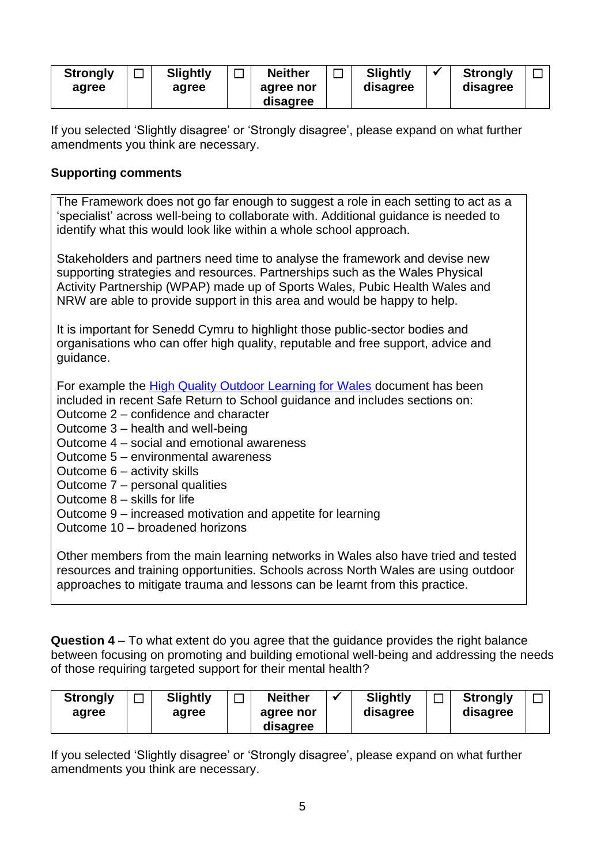| <b>Strongly</b><br>agree | <b>Slightly</b><br>–<br>agree | <b>Neither</b><br>agree nor<br>disagree |  | <b>Slightly</b><br>disagree |  | <b>Strongly</b><br>disagree |  |
|--------------------------|-------------------------------|-----------------------------------------|--|-----------------------------|--|-----------------------------|--|
|--------------------------|-------------------------------|-----------------------------------------|--|-----------------------------|--|-----------------------------|--|

If you selected 'Slightly disagree' or 'Strongly disagree', please expand on what further amendments you think are necessary.

#### **Supporting comments**

The Framework does not go far enough to suggest a role in each setting to act as a 'specialist' across well-being to collaborate with. Additional guidance is needed to identify what this would look like within a whole school approach.

Stakeholders and partners need time to analyse the framework and devise new supporting strategies and resources. Partnerships such as the Wales Physical Activity Partnership (WPAP) made up of Sports Wales, Pubic Health Wales and NRW are able to provide support in this area and would be happy to help.

It is important for Senedd Cymru to highlight those public-sector bodies and organisations who can offer high quality, reputable and free support, advice and guidance.

For example the [High Quality Outdoor Learning for Wales](https://www.walescouncilforoutdoorlearning.org/wp-content/uploads/2019/06/2338-High-quality-outdoor-learning-Wales_English.pdf) document has been included in recent Safe Return to School guidance and includes sections on:

- Outcome 2 confidence and character
- Outcome 3 health and well-being
- Outcome 4 social and emotional awareness
- Outcome 5 environmental awareness
- Outcome 6 activity skills
- Outcome 7 personal qualities
- Outcome 8 skills for life
- Outcome 9 increased motivation and appetite for learning
- Outcome 10 broadened horizons

Other members from the main learning networks in Wales also have tried and tested resources and training opportunities. Schools across North Wales are using outdoor approaches to mitigate trauma and lessons can be learnt from this practice.

**Question 4** – To what extent do you agree that the guidance provides the right balance between focusing on promoting and building emotional well-being and addressing the needs of those requiring targeted support for their mental health?

| <b>Strongly</b><br>agree | <b>Slightly</b><br>agree | <b>Neither</b><br>agree nor | <b>Slightly</b><br>disagree | <b>Strongly</b><br>disagree |  |
|--------------------------|--------------------------|-----------------------------|-----------------------------|-----------------------------|--|
|                          |                          | disagree                    |                             |                             |  |

If you selected 'Slightly disagree' or 'Strongly disagree', please expand on what further amendments you think are necessary.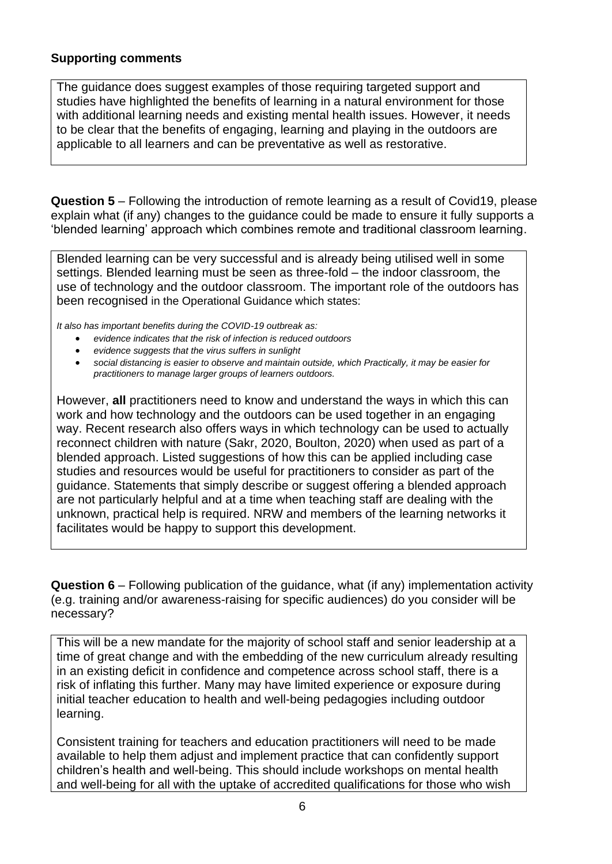#### **Supporting comments**

The guidance does suggest examples of those requiring targeted support and studies have highlighted the benefits of learning in a natural environment for those with additional learning needs and existing mental health issues. However, it needs to be clear that the benefits of engaging, learning and playing in the outdoors are applicable to all learners and can be preventative as well as restorative.

**Question 5** – Following the introduction of remote learning as a result of Covid19, please explain what (if any) changes to the guidance could be made to ensure it fully supports a 'blended learning' approach which combines remote and traditional classroom learning.

Blended learning can be very successful and is already being utilised well in some settings. Blended learning must be seen as three-fold – the indoor classroom, the use of technology and the outdoor classroom. The important role of the outdoors has been recognised in the Operational Guidance which states:

*It also has important benefits during the COVID-19 outbreak as:*

- *evidence indicates that the risk of infection is reduced outdoors*
- *evidence suggests that the virus suffers in sunlight*
- *social distancing is easier to observe and maintain outside, which Practically, it may be easier for practitioners to manage larger groups of learners outdoors.*

However, **all** practitioners need to know and understand the ways in which this can work and how technology and the outdoors can be used together in an engaging way. Recent research also offers ways in which technology can be used to actually reconnect children with nature (Sakr, 2020, Boulton, 2020) when used as part of a blended approach. Listed suggestions of how this can be applied including case studies and resources would be useful for practitioners to consider as part of the guidance. Statements that simply describe or suggest offering a blended approach are not particularly helpful and at a time when teaching staff are dealing with the unknown, practical help is required. NRW and members of the learning networks it facilitates would be happy to support this development.

**Question 6** – Following publication of the guidance, what (if any) implementation activity (e.g. training and/or awareness-raising for specific audiences) do you consider will be necessary?

This will be a new mandate for the majority of school staff and senior leadership at a time of great change and with the embedding of the new curriculum already resulting in an existing deficit in confidence and competence across school staff, there is a risk of inflating this further. Many may have limited experience or exposure during initial teacher education to health and well-being pedagogies including outdoor learning.

Consistent training for teachers and education practitioners will need to be made available to help them adjust and implement practice that can confidently support children's health and well-being. This should include workshops on mental health and well-being for all with the uptake of accredited qualifications for those who wish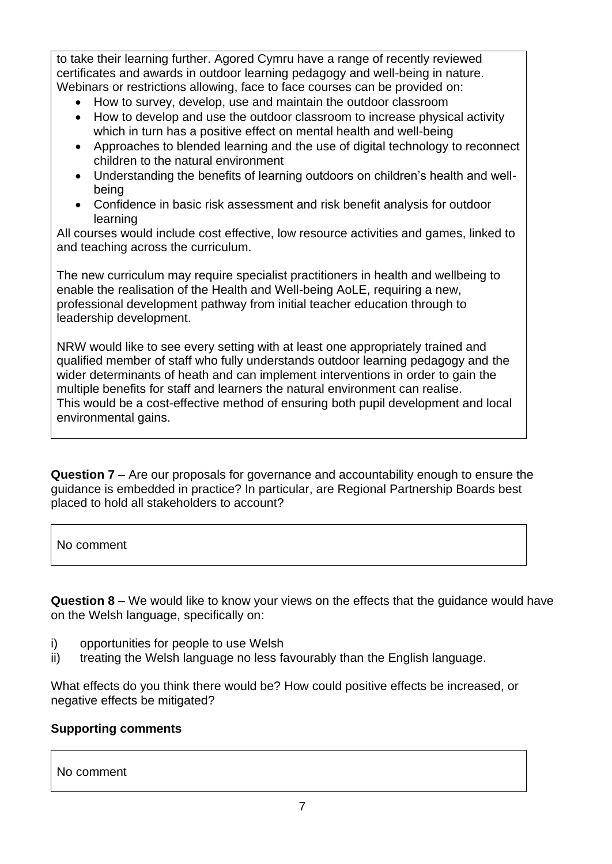to take their learning further. Agored Cymru have a range of recently reviewed certificates and awards in outdoor learning pedagogy and well-being in nature. Webinars or restrictions allowing, face to face courses can be provided on:

- How to survey, develop, use and maintain the outdoor classroom
- How to develop and use the outdoor classroom to increase physical activity which in turn has a positive effect on mental health and well-being
- Approaches to blended learning and the use of digital technology to reconnect children to the natural environment
- Understanding the benefits of learning outdoors on children's health and wellbeing
- Confidence in basic risk assessment and risk benefit analysis for outdoor learning

All courses would include cost effective, low resource activities and games, linked to and teaching across the curriculum.

The new curriculum may require specialist practitioners in health and wellbeing to enable the realisation of the Health and Well-being AoLE, requiring a new, professional development pathway from initial teacher education through to leadership development.

NRW would like to see every setting with at least one appropriately trained and qualified member of staff who fully understands outdoor learning pedagogy and the wider determinants of heath and can implement interventions in order to gain the multiple benefits for staff and learners the natural environment can realise. This would be a cost-effective method of ensuring both pupil development and local environmental gains.

**Question 7** – Are our proposals for governance and accountability enough to ensure the guidance is embedded in practice? In particular, are Regional Partnership Boards best placed to hold all stakeholders to account?

No comment

**Question 8** – We would like to know your views on the effects that the guidance would have on the Welsh language, specifically on:

- i) opportunities for people to use Welsh
- ii) treating the Welsh language no less favourably than the English language.

What effects do you think there would be? How could positive effects be increased, or negative effects be mitigated?

## **Supporting comments**

No comment